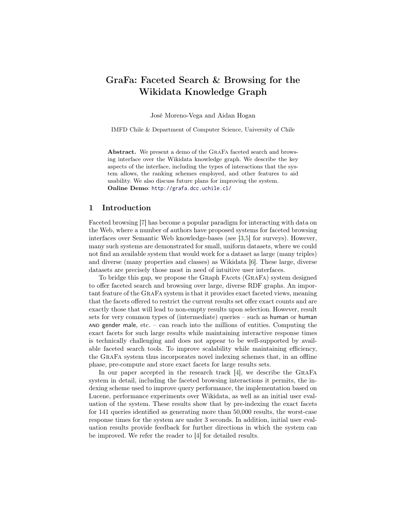# GraFa: Faceted Search & Browsing for the Wikidata Knowledge Graph

José Moreno-Vega and Aidan Hogan

IMFD Chile & Department of Computer Science, University of Chile

Abstract. We present a demo of the GraFa faceted search and browsing interface over the Wikidata knowledge graph. We describe the key aspects of the interface, including the types of interactions that the system allows, the ranking schemes employed, and other features to aid usability. We also discuss future plans for improving the system. Online Demo: <http://grafa.dcc.uchile.cl/>

## 1 Introduction

Faceted browsing [\[7\]](#page-3-0) has become a popular paradigm for interacting with data on the Web, where a number of authors have proposed systems for faceted browsing interfaces over Semantic Web knowledge-bases (see [\[3,](#page-3-1)[5\]](#page-3-2) for surveys). However, many such systems are demonstrated for small, uniform datasets, where we could not find an available system that would work for a dataset as large (many triples) and diverse (many properties and classes) as Wikidata [\[6\]](#page-3-3). These large, diverse datasets are precisely those most in need of intuitive user interfaces.

To bridge this gap, we propose the Graph Facets (GraFa) system designed to offer faceted search and browsing over large, diverse RDF graphs. An important feature of the GraFa system is that it provides exact faceted views, meaning that the facets offered to restrict the current results set offer exact counts and are exactly those that will lead to non-empty results upon selection. However, result sets for very common types of (intermediate) queries – such as human or human AND gender male, etc. – can reach into the millions of entities. Computing the exact facets for such large results while maintaining interactive response times is technically challenging and does not appear to be well-supported by available faceted search tools. To improve scalability while maintaining efficiency, the GraFa system thus incorporates novel indexing schemes that, in an offline phase, pre-compute and store exact facets for large results sets.

In our paper accepted in the research track [\[4\]](#page-3-4), we describe the GraFa system in detail, including the faceted browsing interactions it permits, the indexing scheme used to improve query performance, the implementation based on Lucene, performance experiments over Wikidata, as well as an initial user evaluation of the system. These results show that by pre-indexing the exact facets for 141 queries identified as generating more than 50,000 results, the worst-case response times for the system are under 3 seconds. In addition, initial user evaluation results provide feedback for further directions in which the system can be improved. We refer the reader to [\[4\]](#page-3-4) for detailed results.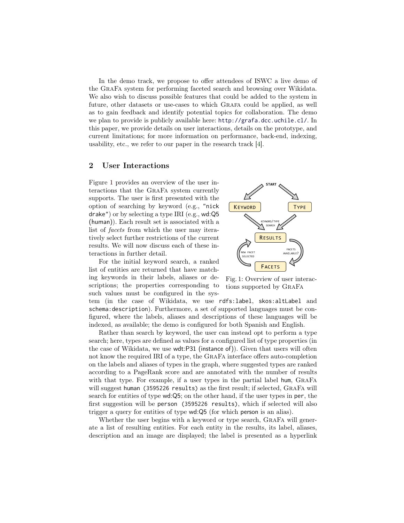In the demo track, we propose to offer attendees of ISWC a live demo of the GraFa system for performing faceted search and browsing over Wikidata. We also wish to discuss possible features that could be added to the system in future, other datasets or use-cases to which Grafa could be applied, as well as to gain feedback and identify potential topics for collaboration. The demo we plan to provide is publicly available here: <http://grafa.dcc.uchile.cl/>. In this paper, we provide details on user interactions, details on the prototype, and current limitations; for more information on performance, back-end, indexing, usability, etc., we refer to our paper in the research track [\[4\]](#page-3-4).

## 2 User Interactions

Figure [1](#page-1-0) provides an overview of the user interactions that the GraFa system currently supports. The user is first presented with the option of searching by keyword (e.g., "nick drake") or by selecting a type IRI (e.g., wd:Q5 (human)). Each result set is associated with a list of facets from which the user may iteratively select further restrictions of the current results. We will now discuss each of these interactions in further detail.

For the initial keyword search, a ranked list of entities are returned that have matching keywords in their labels, aliases or descriptions; the properties corresponding to such values must be configured in the sys-

tem (in the case of Wikidata, we use rdfs:label, skos:altLabel and schema:description). Furthermore, a set of supported languages must be configured, where the labels, aliases and descriptions of these languages will be indexed, as available; the demo is configured for both Spanish and English.

Rather than search by keyword, the user can instead opt to perform a type search; here, types are defined as values for a configured list of type properties (in the case of Wikidata, we use wdt:P31 (instance of)). Given that users will often not know the required IRI of a type, the GraFa interface offers auto-completion on the labels and aliases of types in the graph, where suggested types are ranked according to a PageRank score and are annotated with the number of results with that type. For example, if a user types in the partial label hum, GraFa will suggest human (3595226 results) as the first result; if selected, GRAFA will search for entities of type wd:Q5; on the other hand, if the user types in per, the first suggestion will be person (3595226 results), which if selected will also trigger a query for entities of type wd:Q5 (for which person is an alias).

Whether the user begins with a keyword or type search, GRAFA will generate a list of resulting entities. For each entity in the results, its label, aliases, description and an image are displayed; the label is presented as a hyperlink

<span id="page-1-0"></span>

Fig. 1: Overview of user interactions supported by GraFa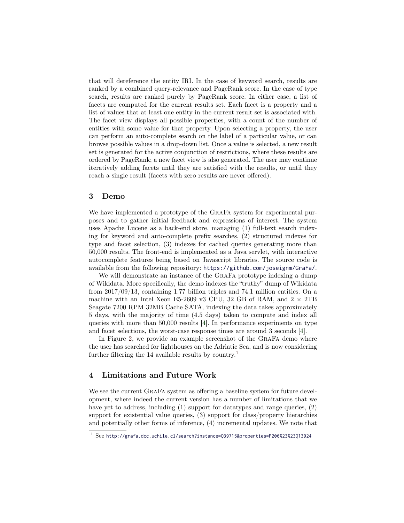that will dereference the entity IRI. In the case of keyword search, results are ranked by a combined query-relevance and PageRank score. In the case of type search, results are ranked purely by PageRank score. In either case, a list of facets are computed for the current results set. Each facet is a property and a list of values that at least one entity in the current result set is associated with. The facet view displays all possible properties, with a count of the number of entities with some value for that property. Upon selecting a property, the user can perform an auto-complete search on the label of a particular value, or can browse possible values in a drop-down list. Once a value is selected, a new result set is generated for the active conjunction of restrictions, where these results are ordered by PageRank; a new facet view is also generated. The user may continue iteratively adding facets until they are satisfied with the results, or until they reach a single result (facets with zero results are never offered).

#### 3 Demo

We have implemented a prototype of the GRAFA system for experimental purposes and to gather initial feedback and expressions of interest. The system uses Apache Lucene as a back-end store, managing (1) full-text search indexing for keyword and auto-complete prefix searches, (2) structured indexes for type and facet selection, (3) indexes for cached queries generating more than 50,000 results. The front-end is implemented as a Java servlet, with interactive autocomplete features being based on Javascript libraries. The source code is available from the following repository: <https://github.com/joseignm/GraFa/>.

We will demonstrate an instance of the GraFa prototype indexing a dump of Wikidata. More specifically, the demo indexes the "truthy" dump of Wikidata from 2017/09/13, containing 1.77 billion triples and 74.1 million entities. On a machine with an Intel Xeon E5-2609 v3 CPU, 32 GB of RAM, and  $2 \times 2TB$ Seagate 7200 RPM 32MB Cache SATA, indexing the data takes approximately 5 days, with the majority of time (4.5 days) taken to compute and index all queries with more than 50,000 results [\[4\]](#page-3-4). In performance experiments on type and facet selections, the worst-case response times are around 3 seconds [\[4\]](#page-3-4).

In Figure [2,](#page-3-5) we provide an example screenshot of the GRAFA demo where the user has searched for lighthouses on the Adriatic Sea, and is now considering further filtering the [1](#page-2-0)4 available results by country.<sup>1</sup>

## 4 Limitations and Future Work

We see the current GraFa system as offering a baseline system for future development, where indeed the current version has a number of limitations that we have yet to address, including (1) support for datatypes and range queries, (2) support for existential value queries, (3) support for class/property hierarchies and potentially other forms of inference, (4) incremental updates. We note that

<span id="page-2-0"></span> $1$  See <http://grafa.dcc.uchile.cl/search?instance=Q39715&properties=P206%23%23Q13924>